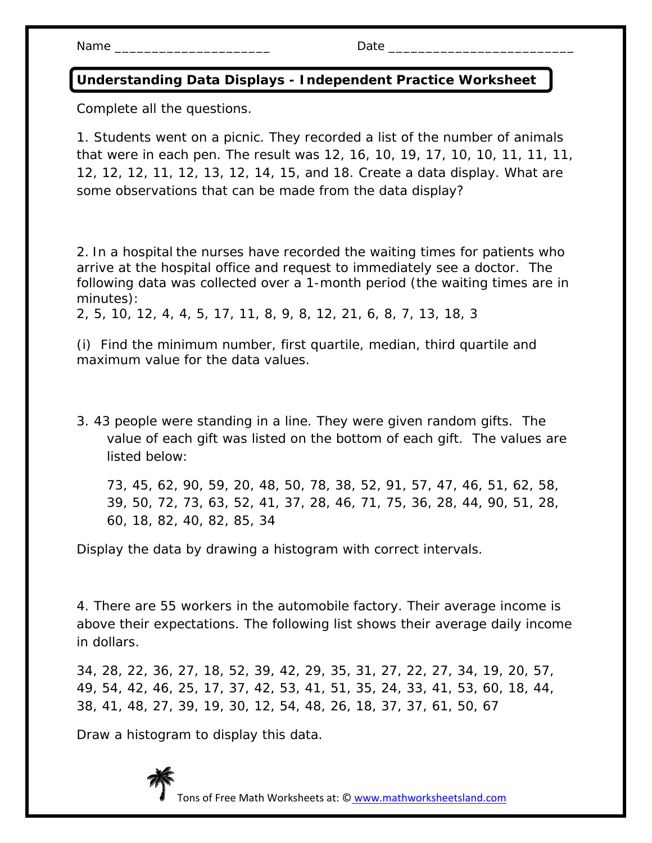Name \_\_\_\_\_\_\_\_\_\_\_\_\_\_\_\_\_\_\_\_\_ Date \_\_\_\_\_\_\_\_\_\_\_\_\_\_\_\_\_\_\_\_\_\_\_\_\_

## **Understanding Data Displays - Independent Practice Worksheet**

Complete all the questions.

1. Students went on a picnic. They recorded a list of the number of animals that were in each pen. The result was 12, 16, 10, 19, 17, 10, 10, 11, 11, 11, 12, 12, 12, 11, 12, 13, 12, 14, 15, and 18. Create a data display. What are some observations that can be made from the data display?

2. In a hospital the nurses have recorded the waiting times for patients who arrive at the hospital office and request to immediately see a doctor. The following data was collected over a 1-month period (the waiting times are in minutes):

2, 5, 10, 12, 4, 4, 5, 17, 11, 8, 9, 8, 12, 21, 6, 8, 7, 13, 18, 3

(i) Find the minimum number, first quartile, median, third quartile and maximum value for the data values.

3. 43 people were standing in a line. They were given random gifts. The value of each gift was listed on the bottom of each gift. The values are listed below:

73, 45, 62, 90, 59, 20, 48, 50, 78, 38, 52, 91, 57, 47, 46, 51, 62, 58, 39, 50, 72, 73, 63, 52, 41, 37, 28, 46, 71, 75, 36, 28, 44, 90, 51, 28, 60, 18, 82, 40, 82, 85, 34

Display the data by drawing a histogram with correct intervals.

4. There are 55 workers in the automobile factory. Their average income is above their expectations. The following list shows their average daily income in dollars.

34, 28, 22, 36, 27, 18, 52, 39, 42, 29, 35, 31, 27, 22, 27, 34, 19, 20, 57, 49, 54, 42, 46, 25, 17, 37, 42, 53, 41, 51, 35, 24, 33, 41, 53, 60, 18, 44, 38, 41, 48, 27, 39, 19, 30, 12, 54, 48, 26, 18, 37, 37, 61, 50, 67

Draw a histogram to display this data.

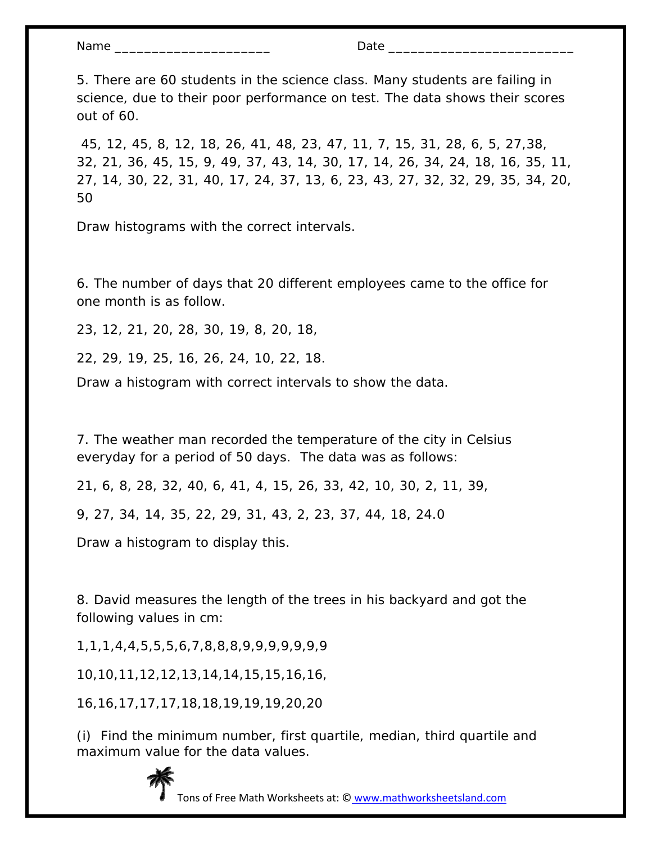| Nar<br>$-1$ |  |
|-------------|--|
|             |  |

5. There are 60 students in the science class. Many students are failing in science, due to their poor performance on test. The data shows their scores out of 60.

 45, 12, 45, 8, 12, 18, 26, 41, 48, 23, 47, 11, 7, 15, 31, 28, 6, 5, 27,38, 32, 21, 36, 45, 15, 9, 49, 37, 43, 14, 30, 17, 14, 26, 34, 24, 18, 16, 35, 11, 27, 14, 30, 22, 31, 40, 17, 24, 37, 13, 6, 23, 43, 27, 32, 32, 29, 35, 34, 20, 50

Draw histograms with the correct intervals.

6. The number of days that 20 different employees came to the office for one month is as follow.

23, 12, 21, 20, 28, 30, 19, 8, 20, 18,

22, 29, 19, 25, 16, 26, 24, 10, 22, 18.

Draw a histogram with correct intervals to show the data.

7. The weather man recorded the temperature of the city in Celsius everyday for a period of 50 days. The data was as follows:

21, 6, 8, 28, 32, 40, 6, 41, 4, 15, 26, 33, 42, 10, 30, 2, 11, 39,

9, 27, 34, 14, 35, 22, 29, 31, 43, 2, 23, 37, 44, 18, 24.0

Draw a histogram to display this.

8. David measures the length of the trees in his backyard and got the following values in cm:

1,1,1,4,4,5,5,5,6,7,8,8,8,9,9,9,9,9,9,9

10,10,11,12,12,13,14,14,15,15,16,16,

16,16,17,17,17,18,18,19,19,19,20,20

(i) Find the minimum number, first quartile, median, third quartile and maximum value for the data values.



Tons of Free Math Worksheets at: © www.mathworksheetsland.com